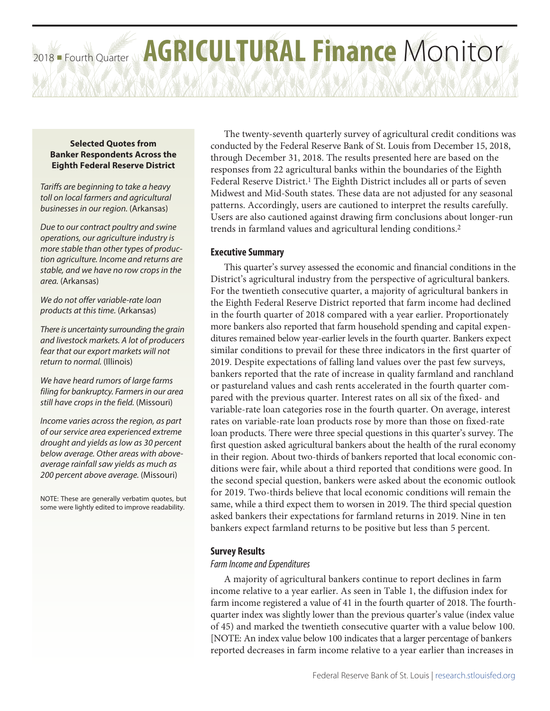# 2018 Fourth Quarter **AGRICULTURAL Finance** Monitor

### **Selected Quotes from Banker Respondents Across the Eighth Federal Reserve District**

*Tariffs are beginning to take a heavy toll on local farmers and agricultural businesses in our region.* (Arkansas)

*Due to our contract poultry and swine operations, our agriculture industry is more stable than other types of production agriculture. Income and returns are stable, and we have no row crops in the area.* (Arkansas)

*We do not offer variable-rate loan products at this time.* (Arkansas)

*There is uncertainty surrounding the grain and livestock markets. A lot of producers fear that our export markets will not return to normal.* (Illinois)

*We have heard rumors of large farms filing for bankruptcy. Farmers in our area still have crops in the field.* (Missouri)

*Income varies across the region, as part of our service area experienced extreme drought and yields as low as 30 percent below average. Other areas with aboveaverage rainfall saw yields as much as 200 percent above average.* (Missouri)

NOTE: These are generally verbatim quotes, but some were lightly edited to improve readability.

The twenty-seventh quarterly survey of agricultural credit conditions was conducted by the Federal Reserve Bank of St. Louis from December 15, 2018, through December 31, 2018. The results presented here are based on the responses from 22 agricultural banks within the boundaries of the Eighth Federal Reserve District.<sup>1</sup> The Eighth District includes all or parts of seven Midwest and Mid-South states. These data are not adjusted for any seasonal patterns. Accordingly, users are cautioned to interpret the results carefully. Users are also cautioned against drawing firm conclusions about longer-run trends in farmland values and agricultural lending conditions.2

# **Executive Summary**

This quarter's survey assessed the economic and financial conditions in the District's agricultural industry from the perspective of agricultural bankers. For the twentieth consecutive quarter, a majority of agricultural bankers in the Eighth Federal Reserve District reported that farm income had declined in the fourth quarter of 2018 compared with a year earlier. Proportionately more bankers also reported that farm household spending and capital expenditures remained below year-earlier levels in the fourth quarter. Bankers expect similar conditions to prevail for these three indicators in the first quarter of 2019. Despite expectations of falling land values over the past few surveys, bankers reported that the rate of increase in quality farmland and ranchland or pastureland values and cash rents accelerated in the fourth quarter compared with the previous quarter. Interest rates on all six of the fixed- and variable-rate loan categories rose in the fourth quarter. On average, interest rates on variable-rate loan products rose by more than those on fixed-rate loan products. There were three special questions in this quarter's survey. The first question asked agricultural bankers about the health of the rural economy in their region. About two-thirds of bankers reported that local economic conditions were fair, while about a third reported that conditions were good. In the second special question, bankers were asked about the economic outlook for 2019. Two-thirds believe that local economic conditions will remain the same, while a third expect them to worsen in 2019. The third special question asked bankers their expectations for farmland returns in 2019. Nine in ten bankers expect farmland returns to be positive but less than 5 percent.

# **Survey Results**

# *Farm Income and Expenditures*

A majority of agricultural bankers continue to report declines in farm income relative to a year earlier. As seen in Table 1, the diffusion index for farm income registered a value of 41 in the fourth quarter of 2018. The fourthquarter index was slightly lower than the previous quarter's value (index value of 45) and marked the twentieth consecutive quarter with a value below 100. [NOTE: An index value below 100 indicates that a larger percentage of bankers reported decreases in farm income relative to a year earlier than increases in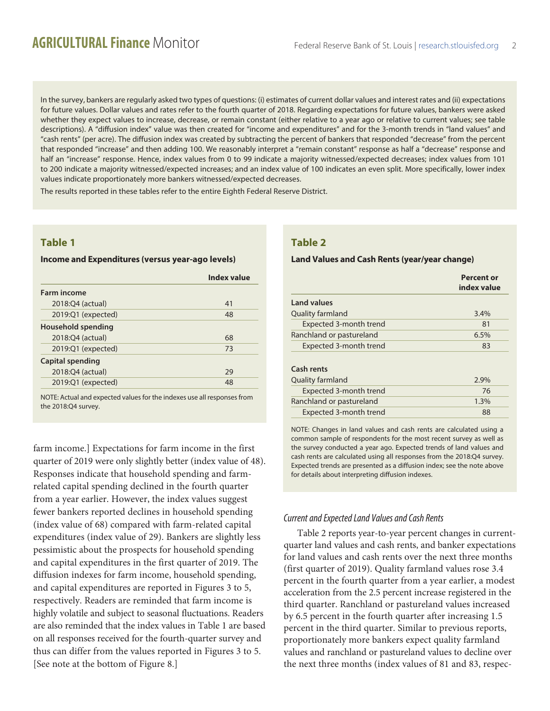In the survey, bankers are regularly asked two types of questions: (i) estimates of current dollar values and interest rates and (ii) expectations for future values. Dollar values and rates refer to the fourth quarter of 2018. Regarding expectations for future values, bankers were asked whether they expect values to increase, decrease, or remain constant (either relative to a year ago or relative to current values; see table descriptions). A "diffusion index" value was then created for "income and expenditures" and for the 3-month trends in "land values" and "cash rents" (per acre). The diffusion index was created by subtracting the percent of bankers that responded "decrease" from the percent that responded "increase" and then adding 100. We reasonably interpret a "remain constant" response as half a "decrease" response and half an "increase" response. Hence, index values from 0 to 99 indicate a majority witnessed/expected decreases; index values from 101 to 200 indicate a majority witnessed/expected increases; and an index value of 100 indicates an even split. More specifically, lower index values indicate proportionately more bankers witnessed/expected decreases.

The results reported in these tables refer to the entire Eighth Federal Reserve District.

# **Table 1**

### **Income and Expenditures (versus year-ago levels)**

|                    | <b>Index value</b> |
|--------------------|--------------------|
| <b>Farm income</b> |                    |
| 2018:Q4 (actual)   | 41                 |
| 2019:Q1 (expected) | 48                 |
| Household spending |                    |
| 2018:Q4 (actual)   | 68                 |
| 2019:Q1 (expected) | 73                 |
| Capital spending   |                    |
| 2018:Q4 (actual)   | 29                 |
| 2019:Q1 (expected) | 48                 |
|                    |                    |

NOTE: Actual and expected values for the indexes use all responses from the 2018:Q4 survey.

farm income.] Expectations for farm income in the first quarter of 2019 were only slightly better (index value of 48). Responses indicate that household spending and farmrelated capital spending declined in the fourth quarter from a year earlier. However, the index values suggest fewer bankers reported declines in household spending (index value of 68) compared with farm-related capital expenditures (index value of 29). Bankers are slightly less pessimistic about the prospects for household spending and capital expenditures in the first quarter of 2019. The diffusion indexes for farm income, household spending, and capital expenditures are reported in Figures 3 to 5, respectively. Readers are reminded that farm income is highly volatile and subject to seasonal fluctuations. Readers are also reminded that the index values in Table 1 are based on all responses received for the fourth-quarter survey and thus can differ from the values reported in Figures 3 to 5. [See note at the bottom of Figure 8.]

# **Table 2**

### **Land Values and Cash Rents (year/year change)**

|                          | Percent or<br>index value |
|--------------------------|---------------------------|
| <b>Land values</b>       |                           |
| Quality farmland         | 3.4%                      |
| Expected 3-month trend   | 81                        |
| Ranchland or pastureland | 6.5%                      |
| Expected 3-month trend   | 83                        |
| Cash rents               |                           |
| Quality farmland         | 2.9%                      |
| Expected 3-month trend   | 76                        |
| Ranchland or pastureland | 1.3%                      |
| Expected 3-month trend   | 88                        |

NOTE: Changes in land values and cash rents are calculated using a common sample of respondents for the most recent survey as well as the survey conducted a year ago. Expected trends of land values and cash rents are calculated using all responses from the 2018:Q4 survey. Expected trends are presented as a diffusion index; see the note above for details about interpreting diffusion indexes.

## *Current and Expected Land Values and Cash Rents*

Table 2 reports year-to-year percent changes in currentquarter land values and cash rents, and banker expectations for land values and cash rents over the next three months (first quarter of 2019). Quality farmland values rose 3.4 percent in the fourth quarter from a year earlier, a modest acceleration from the 2.5 percent increase registered in the third quarter. Ranchland or pastureland values increased by 6.5 percent in the fourth quarter after increasing 1.5 percent in the third quarter. Similar to previous reports, proportionately more bankers expect quality farmland values and ranchland or pastureland values to decline over the next three months (index values of 81 and 83, respec-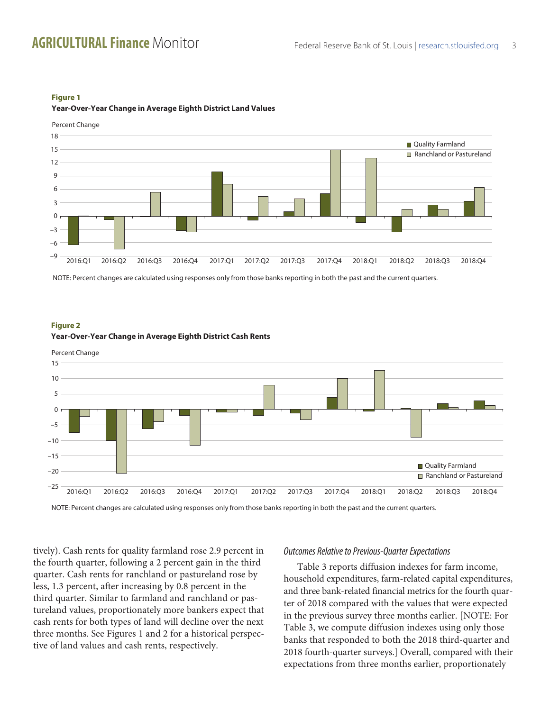

### **Figure 1 Year-Over-Year Change in Average Eighth District Land Values**

NOTE: Percent changes are calculated using responses only from those banks reporting in both the past and the current quarters.



### **Figure 2 Year-Over-Year Change in Average Eighth District Cash Rents**

NOTE: Percent changes are calculated using responses only from those banks reporting in both the past and the current quarters.

tively). Cash rents for quality farmland rose 2.9 percent in the fourth quarter, following a 2 percent gain in the third quarter. Cash rents for ranchland or pastureland rose by less, 1.3 percent, after increasing by 0.8 percent in the third quarter. Similar to farmland and ranchland or pastureland values, proportionately more bankers expect that cash rents for both types of land will decline over the next three months. See Figures 1 and 2 for a historical perspective of land values and cash rents, respectively.

### *Outcomes Relative to Previous-Quarter Expectations*

Table 3 reports diffusion indexes for farm income, household expenditures, farm-related capital expenditures, and three bank-related financial metrics for the fourth quarter of 2018 compared with the values that were expected in the previous survey three months earlier. [NOTE: For Table 3, we compute diffusion indexes using only those banks that responded to both the 2018 third-quarter and 2018 fourth-quarter surveys.] Overall, compared with their expectations from three months earlier, proportionately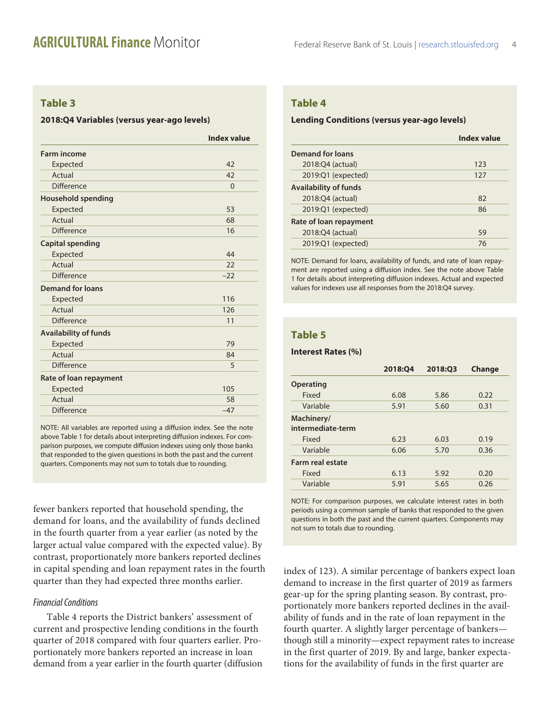# **Table 3**

### **2018:Q4 Variables (versus year-ago levels)**

|                              | <b>Index value</b> |
|------------------------------|--------------------|
| <b>Farm income</b>           |                    |
| Expected                     | 42                 |
| Actual                       | 42                 |
| <b>Difference</b>            | $\Omega$           |
| <b>Household spending</b>    |                    |
| Expected                     | 53                 |
| Actual                       | 68                 |
| <b>Difference</b>            | 16                 |
| <b>Capital spending</b>      |                    |
| Expected                     | 44                 |
| Actual                       | 22                 |
| <b>Difference</b>            | $-22$              |
| <b>Demand for loans</b>      |                    |
| Expected                     | 116                |
| Actual                       | 126                |
| <b>Difference</b>            | 11                 |
| <b>Availability of funds</b> |                    |
| Expected                     | 79                 |
| Actual                       | 84                 |
| <b>Difference</b>            | 5                  |
| Rate of loan repayment       |                    |
| Expected                     | 105                |
| Actual                       | 58                 |
| <b>Difference</b>            | $-47$              |

NOTE: All variables are reported using a diffusion index. See the note above Table 1 for details about interpreting diffusion indexes. For comparison purposes, we compute diffusion indexes using only those banks that responded to the given questions in both the past and the current quarters. Components may not sum to totals due to rounding.

fewer bankers reported that household spending, the demand for loans, and the availability of funds declined in the fourth quarter from a year earlier (as noted by the larger actual value compared with the expected value). By contrast, proportionately more bankers reported declines in capital spending and loan repayment rates in the fourth quarter than they had expected three months earlier.

### *Financial Conditions*

Table 4 reports the District bankers' assessment of current and prospective lending conditions in the fourth quarter of 2018 compared with four quarters earlier. Proportionately more bankers reported an increase in loan demand from a year earlier in the fourth quarter (diffusion

# **Table 4**

### **Lending Conditions (versus year-ago levels)**

|                              | <b>Index value</b> |
|------------------------------|--------------------|
| <b>Demand for loans</b>      |                    |
| 2018:Q4 (actual)             | 123                |
| 2019:Q1 (expected)           | 127                |
| <b>Availability of funds</b> |                    |
| 2018:04 (actual)             | 82                 |
| 2019:Q1 (expected)           | 86                 |
| Rate of loan repayment       |                    |
| 2018:Q4 (actual)             | 59                 |
| 2019:Q1 (expected)           | 76                 |

NOTE: Demand for loans, availability of funds, and rate of loan repayment are reported using a diffusion index. See the note above Table 1 for details about interpreting diffusion indexes. Actual and expected values for indexes use all responses from the 2018:Q4 survey.

# **Table 5**

### **Interest Rates (%)**

|                                 | 2018:04 | 2018:03 | Change |
|---------------------------------|---------|---------|--------|
| <b>Operating</b>                |         |         |        |
| Fixed                           | 6.08    | 5.86    | 0.22   |
| Variable                        | 5.91    | 5.60    | 0.31   |
| Machinery/<br>intermediate-term |         |         |        |
| Fixed                           | 6.23    | 6.03    | 0.19   |
| Variable                        | 6.06    | 5.70    | 0.36   |
| Farm real estate                |         |         |        |
| Fixed                           | 6.13    | 5.92    | 0.20   |
| Variable                        | 5.91    | 5.65    | 0.26   |
|                                 |         |         |        |

NOTE: For comparison purposes, we calculate interest rates in both periods using a common sample of banks that responded to the given questions in both the past and the current quarters. Components may not sum to totals due to rounding.

index of 123). A similar percentage of bankers expect loan demand to increase in the first quarter of 2019 as farmers gear-up for the spring planting season. By contrast, proportionately more bankers reported declines in the availability of funds and in the rate of loan repayment in the fourth quarter. A slightly larger percentage of bankers though still a minority—expect repayment rates to increase in the first quarter of 2019. By and large, banker expectations for the availability of funds in the first quarter are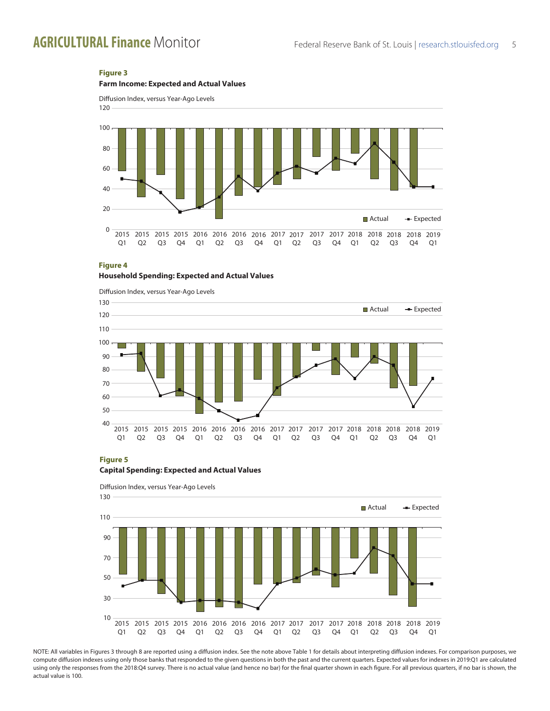### **Figure 3**







#### **Figure 4**

### **Household Spending: Expected and Actual Values**



#### **Figure 5**

#### **Capital Spending: Expected and Actual Values**



NOTE: All variables in Figures 3 through 8 are reported using a diffusion index. See the note above Table 1 for details about interpreting diffusion indexes. For comparison purposes, we compute diffusion indexes using only those banks that responded to the given questions in both the past and the current quarters. Expected values for indexes in 2019:Q1 are calculated using only the responses from the 2018:Q4 survey. There is no actual value (and hence no bar) for the final quarter shown in each figure. For all previous quarters, if no bar is shown, the actual value is 100.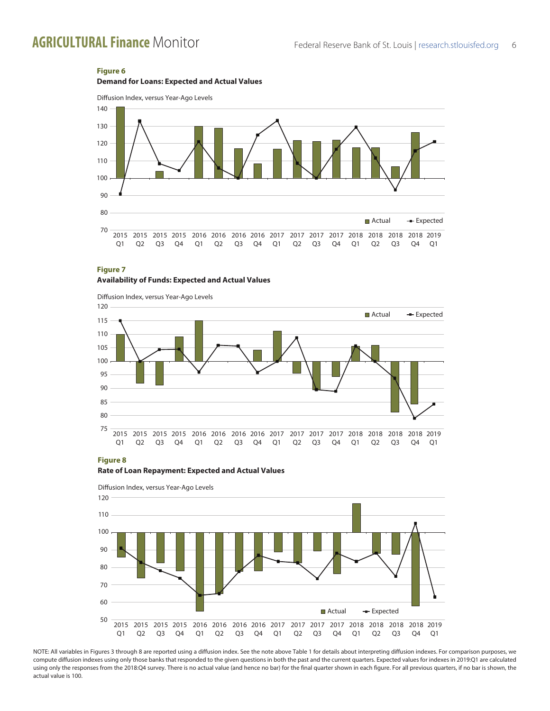## **Figure 6**

**Demand for Loans: Expected and Actual Values**



### **Figure 7**

### **Availability of Funds: Expected and Actual Values**



#### **Figure 8**





NOTE: All variables in Figures 3 through 8 are reported using a diffusion index. See the note above Table 1 for details about interpreting diffusion indexes. For comparison purposes, we compute diffusion indexes using only those banks that responded to the given questions in both the past and the current quarters. Expected values for indexes in 2019:Q1 are calculated using only the responses from the 2018:Q4 survey. There is no actual value (and hence no bar) for the final quarter shown in each figure. For all previous quarters, if no bar is shown, the actual value is 100.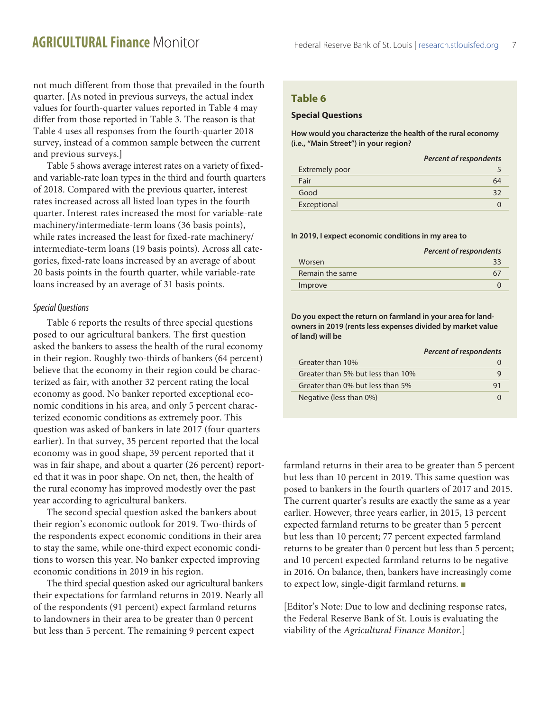not much different from those that prevailed in the fourth quarter. [As noted in previous surveys, the actual index values for fourth-quarter values reported in Table 4 may differ from those reported in Table 3. The reason is that Table 4 uses all responses from the fourth-quarter 2018 survey, instead of a common sample between the current and previous surveys.]

Table 5 shows average interest rates on a variety of fixedand variable-rate loan types in the third and fourth quarters of 2018. Compared with the previous quarter, interest rates increased across all listed loan types in the fourth quarter. Interest rates increased the most for variable-rate machinery/intermediate-term loans (36 basis points), while rates increased the least for fixed-rate machinery/ intermediate-term loans (19 basis points). Across all categories, fixed-rate loans increased by an average of about 20 basis points in the fourth quarter, while variable-rate loans increased by an average of 31 basis points.

### *Special Questions*

Table 6 reports the results of three special questions posed to our agricultural bankers. The first question asked the bankers to assess the health of the rural economy in their region. Roughly two-thirds of bankers (64 percent) believe that the economy in their region could be characterized as fair, with another 32 percent rating the local economy as good. No banker reported exceptional economic conditions in his area, and only 5 percent characterized economic conditions as extremely poor. This question was asked of bankers in late 2017 (four quarters earlier). In that survey, 35 percent reported that the local economy was in good shape, 39 percent reported that it was in fair shape, and about a quarter (26 percent) reported that it was in poor shape. On net, then, the health of the rural economy has improved modestly over the past year according to agricultural bankers.

The second special question asked the bankers about their region's economic outlook for 2019. Two-thirds of the respondents expect economic conditions in their area to stay the same, while one-third expect economic conditions to worsen this year. No banker expected improving economic conditions in 2019 in his region.

The third special question asked our agricultural bankers their expectations for farmland returns in 2019. Nearly all of the respondents (91 percent) expect farmland returns to landowners in their area to be greater than 0 percent but less than 5 percent. The remaining 9 percent expect

# **Table 6**

### **Special Questions**

**How would you characterize the health of the rural economy (i.e., "Main Street") in your region?**

|                       | <b>Percent of respondents</b> |
|-----------------------|-------------------------------|
| <b>Extremely poor</b> |                               |
| Fair                  | 64                            |
| Good                  | 32                            |
| Exceptional           |                               |
|                       |                               |

#### **In 2019, I expect economic conditions in my area to**

|                 | <b>Percent of respondents</b> |
|-----------------|-------------------------------|
| Worsen          |                               |
| Remain the same |                               |
| Improve         |                               |

**Do you expect the return on farmland in your area for landowners in 2019 (rents less expenses divided by market value of land) will be**

|                                   | <b>Percent of respondents</b> |
|-----------------------------------|-------------------------------|
| Greater than 10%                  |                               |
| Greater than 5% but less than 10% | q                             |
| Greater than 0% but less than 5%  | 91                            |
| Negative (less than 0%)           |                               |

farmland returns in their area to be greater than 5 percent but less than 10 percent in 2019. This same question was posed to bankers in the fourth quarters of 2017 and 2015. The current quarter's results are exactly the same as a year earlier. However, three years earlier, in 2015, 13 percent expected farmland returns to be greater than 5 percent but less than 10 percent; 77 percent expected farmland returns to be greater than 0 percent but less than 5 percent; and 10 percent expected farmland returns to be negative in 2016. On balance, then, bankers have increasingly come to expect low, single-digit farmland returns.  $\blacksquare$ 

[Editor's Note: Due to low and declining response rates, the Federal Reserve Bank of St. Louis is evaluating the viability of the *Agricultural Finance Monitor*.]